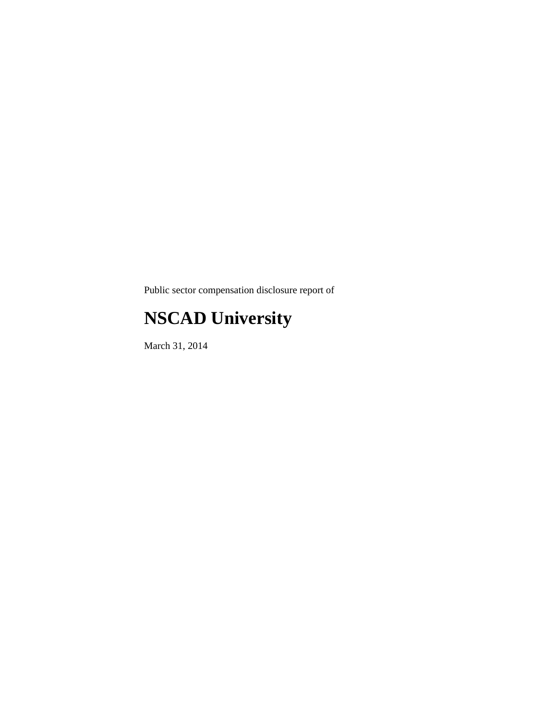Public sector compensation disclosure report of

## **NSCAD University**

March 31, 2014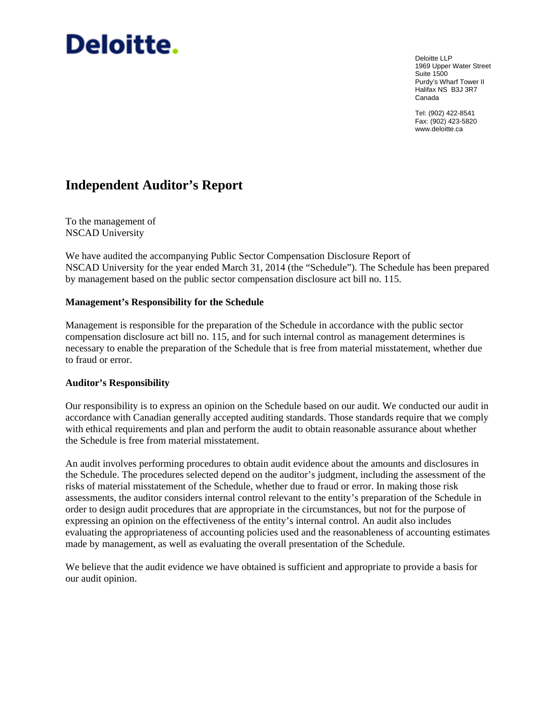# Deloitte.

Deloitte LLP 1969 Upper Water Street Suite 1500 Purdy's Wharf Tower II Halifax NS B3J 3R7 Canada

Tel: (902) 422-8541 Fax: (902) 423-5820 www.deloitte.ca

### **Independent Auditor's Report**

To the management of NSCAD University

We have audited the accompanying Public Sector Compensation Disclosure Report of NSCAD University for the year ended March 31, 2014 (the "Schedule"). The Schedule has been prepared by management based on the public sector compensation disclosure act bill no. 115.

### **Management's Responsibility for the Schedule**

Management is responsible for the preparation of the Schedule in accordance with the public sector compensation disclosure act bill no. 115, and for such internal control as management determines is necessary to enable the preparation of the Schedule that is free from material misstatement, whether due to fraud or error.

### **Auditor's Responsibility**

Our responsibility is to express an opinion on the Schedule based on our audit. We conducted our audit in accordance with Canadian generally accepted auditing standards. Those standards require that we comply with ethical requirements and plan and perform the audit to obtain reasonable assurance about whether the Schedule is free from material misstatement.

An audit involves performing procedures to obtain audit evidence about the amounts and disclosures in the Schedule. The procedures selected depend on the auditor's judgment, including the assessment of the risks of material misstatement of the Schedule, whether due to fraud or error. In making those risk assessments, the auditor considers internal control relevant to the entity's preparation of the Schedule in order to design audit procedures that are appropriate in the circumstances, but not for the purpose of expressing an opinion on the effectiveness of the entity's internal control. An audit also includes evaluating the appropriateness of accounting policies used and the reasonableness of accounting estimates made by management, as well as evaluating the overall presentation of the Schedule.

We believe that the audit evidence we have obtained is sufficient and appropriate to provide a basis for our audit opinion.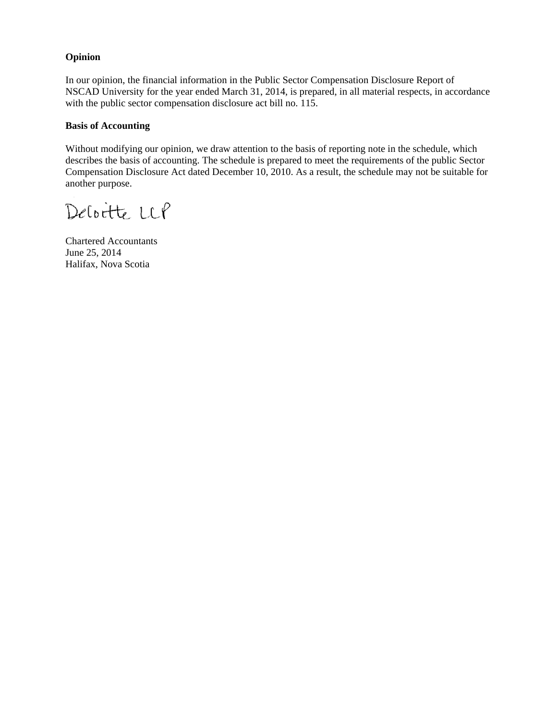### **Opinion**

In our opinion, the financial information in the Public Sector Compensation Disclosure Report of NSCAD University for the year ended March 31, 2014, is prepared, in all material respects, in accordance with the public sector compensation disclosure act bill no. 115.

### **Basis of Accounting**

Without modifying our opinion, we draw attention to the basis of reporting note in the schedule, which describes the basis of accounting. The schedule is prepared to meet the requirements of the public Sector Compensation Disclosure Act dated December 10, 2010. As a result, the schedule may not be suitable for another purpose.

Deloitte LCP

Chartered Accountants June 25, 2014 Halifax, Nova Scotia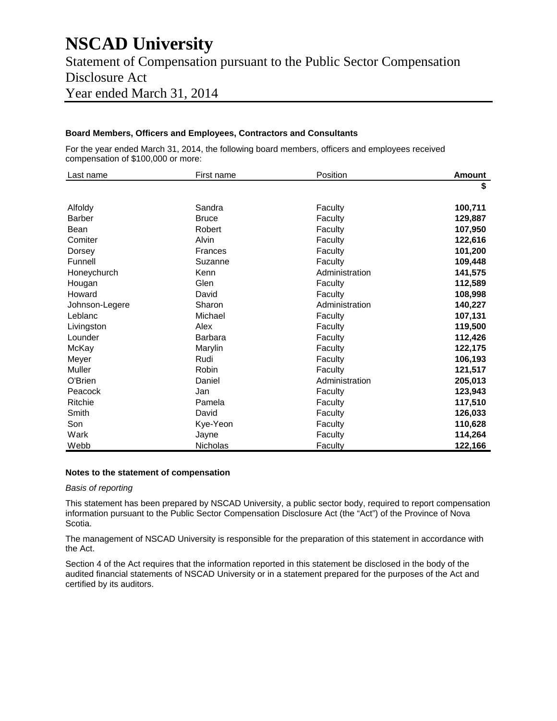### **NSCAD University**

Statement of Compensation pursuant to the Public Sector Compensation Disclosure Act Year ended March 31, 2014

### **Board Members, Officers and Employees, Contractors and Consultants**

For the year ended March 31, 2014, the following board members, officers and employees received compensation of \$100,000 or more:

| Last name      | First name     | Position       | <b>Amount</b> |
|----------------|----------------|----------------|---------------|
|                |                |                | \$            |
| Alfoldy        | Sandra         | Faculty        | 100,711       |
| <b>Barber</b>  | <b>Bruce</b>   | Faculty        | 129,887       |
| Bean           | Robert         | Faculty        | 107,950       |
| Comiter        | Alvin          | Faculty        | 122,616       |
| Dorsey         | Frances        | Faculty        | 101,200       |
| Funnell        | Suzanne        | Faculty        | 109,448       |
| Honeychurch    | Kenn           | Administration | 141,575       |
| Hougan         | Glen           | Faculty        | 112,589       |
| Howard         | David          | Faculty        | 108,998       |
| Johnson-Legere | Sharon         | Administration | 140,227       |
| Leblanc        | Michael        | Faculty        | 107,131       |
| Livingston     | Alex           | Faculty        | 119,500       |
| Lounder        | <b>Barbara</b> | Faculty        | 112,426       |
| McKay          | Marylin        | Faculty        | 122,175       |
| Meyer          | Rudi           | Faculty        | 106,193       |
| Muller         | Robin          | Faculty        | 121,517       |
| O'Brien        | Daniel         | Administration | 205,013       |
| Peacock        | Jan            | Faculty        | 123,943       |
| Ritchie        | Pamela         | Faculty        | 117,510       |
| Smith          | David          | Faculty        | 126,033       |
| Son            | Kye-Yeon       | Faculty        | 110,628       |
| Wark           | Jayne          | Faculty        | 114,264       |
| Webb           | Nicholas       | Faculty        | 122,166       |

#### **Notes to the statement of compensation**

#### *Basis of reporting*

This statement has been prepared by NSCAD University, a public sector body, required to report compensation information pursuant to the Public Sector Compensation Disclosure Act (the "Act") of the Province of Nova Scotia.

The management of NSCAD University is responsible for the preparation of this statement in accordance with the Act.

Section 4 of the Act requires that the information reported in this statement be disclosed in the body of the audited financial statements of NSCAD University or in a statement prepared for the purposes of the Act and certified by its auditors.